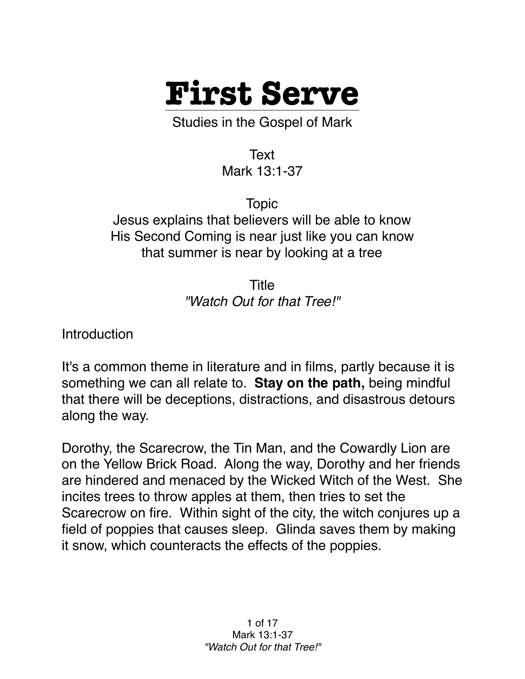

Studies in the Gospel of Mark

Text Mark 13:1-37

Topic Jesus explains that believers will be able to know His Second Coming is near just like you can know that summer is near by looking at a tree

> Title *"Watch Out for that Tree!"*

**Introduction** 

It's a common theme in literature and in films, partly because it is something we can all relate to. **Stay on the path,** being mindful that there will be deceptions, distractions, and disastrous detours along the way.

Dorothy, the Scarecrow, the Tin Man, and the Cowardly Lion are on the Yellow Brick Road. Along the way, Dorothy and her friends are hindered and menaced by the Wicked Witch of the West. She incites trees to throw apples at them, then tries to set the Scarecrow on fire. Within sight of the city, the witch conjures up a field of poppies that causes sleep. Glinda saves them by making it snow, which counteracts the effects of the poppies.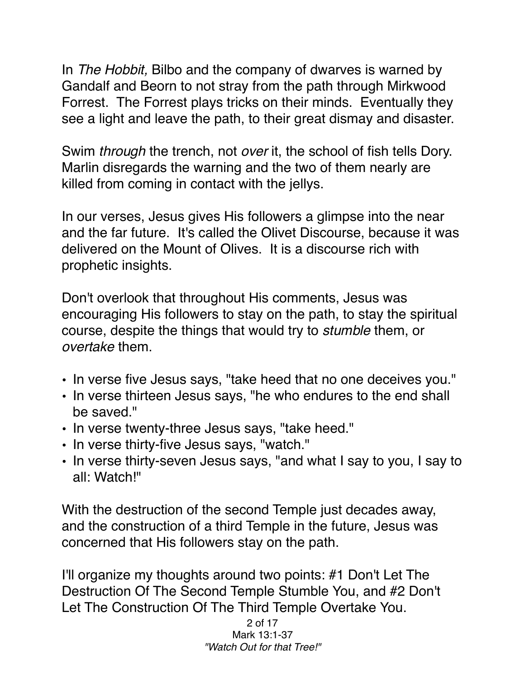In *The Hobbit,* Bilbo and the company of dwarves is warned by Gandalf and Beorn to not stray from the path through Mirkwood Forrest. The Forrest plays tricks on their minds. Eventually they see a light and leave the path, to their great dismay and disaster.

Swim *through* the trench, not *over* it, the school of fish tells Dory. Marlin disregards the warning and the two of them nearly are killed from coming in contact with the jellys.

In our verses, Jesus gives His followers a glimpse into the near and the far future. It's called the Olivet Discourse, because it was delivered on the Mount of Olives. It is a discourse rich with prophetic insights.

Don't overlook that throughout His comments, Jesus was encouraging His followers to stay on the path, to stay the spiritual course, despite the things that would try to *stumble* them, or *overtake* them.

- In verse five Jesus says, "take heed that no one deceives you."
- In verse thirteen Jesus says, "he who endures to the end shall be saved."
- In verse twenty-three Jesus says, "take heed."
- In verse thirty-five Jesus says, "watch."
- In verse thirty-seven Jesus says, "and what I say to you, I say to all: Watch!"

With the destruction of the second Temple just decades away, and the construction of a third Temple in the future, Jesus was concerned that His followers stay on the path.

I'll organize my thoughts around two points: #1 Don't Let The Destruction Of The Second Temple Stumble You, and #2 Don't Let The Construction Of The Third Temple Overtake You.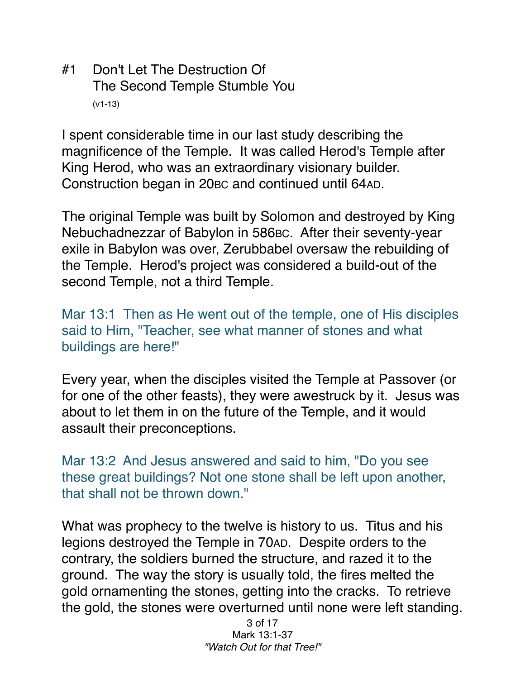#1 Don't Let The Destruction Of The Second Temple Stumble You (v1-13)

I spent considerable time in our last study describing the magnificence of the Temple. It was called Herod's Temple after King Herod, who was an extraordinary visionary builder. Construction began in 20BC and continued until 64AD.

The original Temple was built by Solomon and destroyed by King Nebuchadnezzar of Babylon in 586BC. After their seventy-year exile in Babylon was over, Zerubbabel oversaw the rebuilding of the Temple. Herod's project was considered a build-out of the second Temple, not a third Temple.

Mar 13:1 Then as He went out of the temple, one of His disciples said to Him, "Teacher, see what manner of stones and what buildings are here!"

Every year, when the disciples visited the Temple at Passover (or for one of the other feasts), they were awestruck by it. Jesus was about to let them in on the future of the Temple, and it would assault their preconceptions.

Mar 13:2 And Jesus answered and said to him, "Do you see these great buildings? Not one stone shall be left upon another, that shall not be thrown down."

What was prophecy to the twelve is history to us. Titus and his legions destroyed the Temple in 70AD. Despite orders to the contrary, the soldiers burned the structure, and razed it to the ground. The way the story is usually told, the fires melted the gold ornamenting the stones, getting into the cracks. To retrieve the gold, the stones were overturned until none were left standing.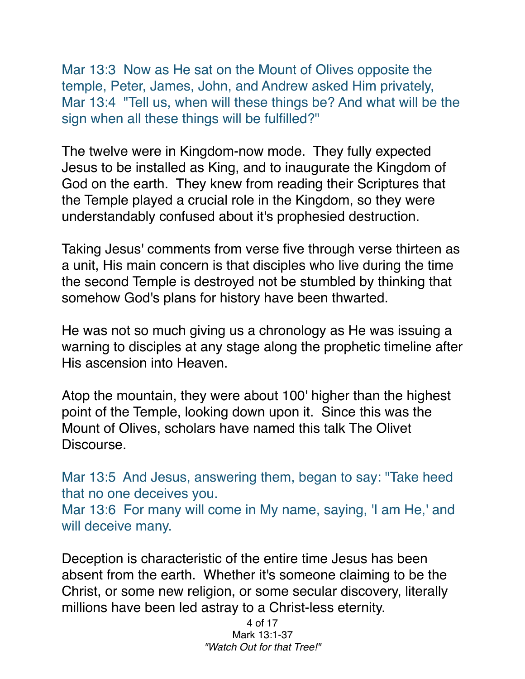Mar 13:3 Now as He sat on the Mount of Olives opposite the temple, Peter, James, John, and Andrew asked Him privately, Mar 13:4 "Tell us, when will these things be? And what will be the sign when all these things will be fulfilled?"

The twelve were in Kingdom-now mode. They fully expected Jesus to be installed as King, and to inaugurate the Kingdom of God on the earth. They knew from reading their Scriptures that the Temple played a crucial role in the Kingdom, so they were understandably confused about it's prophesied destruction.

Taking Jesus' comments from verse five through verse thirteen as a unit, His main concern is that disciples who live during the time the second Temple is destroyed not be stumbled by thinking that somehow God's plans for history have been thwarted.

He was not so much giving us a chronology as He was issuing a warning to disciples at any stage along the prophetic timeline after His ascension into Heaven.

Atop the mountain, they were about 100' higher than the highest point of the Temple, looking down upon it. Since this was the Mount of Olives, scholars have named this talk The Olivet Discourse.

Mar 13:5 And Jesus, answering them, began to say: "Take heed that no one deceives you. Mar 13:6 For many will come in My name, saying, 'I am He,' and will deceive many.

Deception is characteristic of the entire time Jesus has been absent from the earth. Whether it's someone claiming to be the Christ, or some new religion, or some secular discovery, literally millions have been led astray to a Christ-less eternity.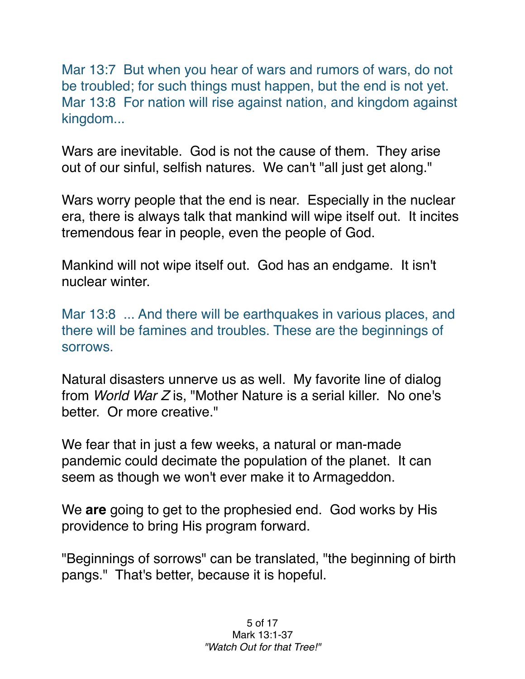Mar 13:7 But when you hear of wars and rumors of wars, do not be troubled; for such things must happen, but the end is not yet. Mar 13:8 For nation will rise against nation, and kingdom against kingdom...

Wars are inevitable. God is not the cause of them. They arise out of our sinful, selfish natures. We can't "all just get along."

Wars worry people that the end is near. Especially in the nuclear era, there is always talk that mankind will wipe itself out. It incites tremendous fear in people, even the people of God.

Mankind will not wipe itself out. God has an endgame. It isn't nuclear winter.

Mar 13:8 ... And there will be earthquakes in various places, and there will be famines and troubles. These are the beginnings of sorrows.

Natural disasters unnerve us as well. My favorite line of dialog from *World War Z* is, "Mother Nature is a serial killer. No one's better. Or more creative."

We fear that in just a few weeks, a natural or man-made pandemic could decimate the population of the planet. It can seem as though we won't ever make it to Armageddon.

We **are** going to get to the prophesied end. God works by His providence to bring His program forward.

"Beginnings of sorrows" can be translated, "the beginning of birth pangs." That's better, because it is hopeful.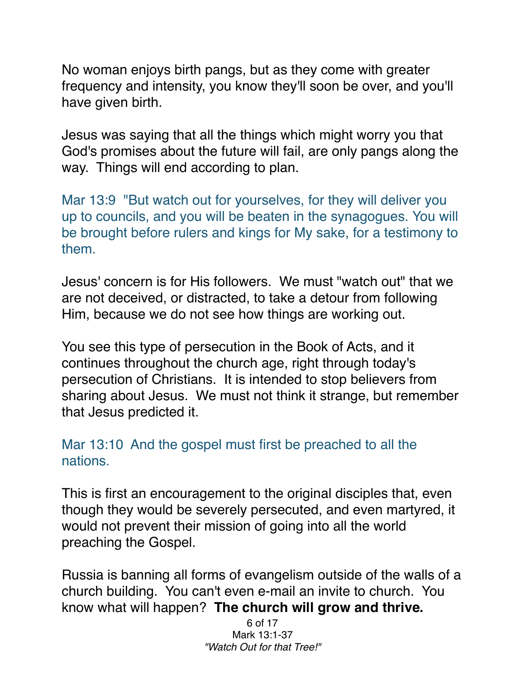No woman enjoys birth pangs, but as they come with greater frequency and intensity, you know they'll soon be over, and you'll have given birth.

Jesus was saying that all the things which might worry you that God's promises about the future will fail, are only pangs along the way. Things will end according to plan.

Mar 13:9 "But watch out for yourselves, for they will deliver you up to councils, and you will be beaten in the synagogues. You will be brought before rulers and kings for My sake, for a testimony to them.

Jesus' concern is for His followers. We must "watch out" that we are not deceived, or distracted, to take a detour from following Him, because we do not see how things are working out.

You see this type of persecution in the Book of Acts, and it continues throughout the church age, right through today's persecution of Christians. It is intended to stop believers from sharing about Jesus. We must not think it strange, but remember that Jesus predicted it.

## Mar 13:10 And the gospel must first be preached to all the nations.

This is first an encouragement to the original disciples that, even though they would be severely persecuted, and even martyred, it would not prevent their mission of going into all the world preaching the Gospel.

Russia is banning all forms of evangelism outside of the walls of a church building. You can't even e-mail an invite to church. You know what will happen? **The church will grow and thrive.**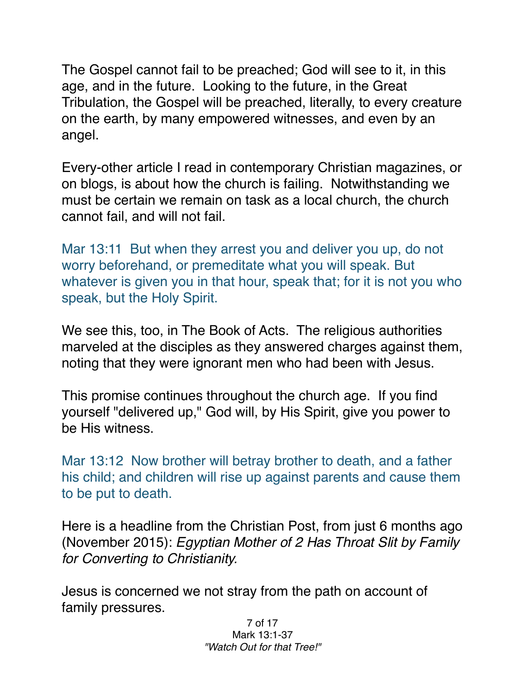The Gospel cannot fail to be preached; God will see to it, in this age, and in the future. Looking to the future, in the Great Tribulation, the Gospel will be preached, literally, to every creature on the earth, by many empowered witnesses, and even by an angel.

Every-other article I read in contemporary Christian magazines, or on blogs, is about how the church is failing. Notwithstanding we must be certain we remain on task as a local church, the church cannot fail, and will not fail.

Mar 13:11 But when they arrest you and deliver you up, do not worry beforehand, or premeditate what you will speak. But whatever is given you in that hour, speak that; for it is not you who speak, but the Holy Spirit.

We see this, too, in The Book of Acts. The religious authorities marveled at the disciples as they answered charges against them, noting that they were ignorant men who had been with Jesus.

This promise continues throughout the church age. If you find yourself "delivered up," God will, by His Spirit, give you power to be His witness.

Mar 13:12 Now brother will betray brother to death, and a father his child; and children will rise up against parents and cause them to be put to death.

Here is a headline from the Christian Post, from just 6 months ago (November 2015): *Egyptian Mother of 2 Has Throat Slit by Family for Converting to Christianity.*

Jesus is concerned we not stray from the path on account of family pressures.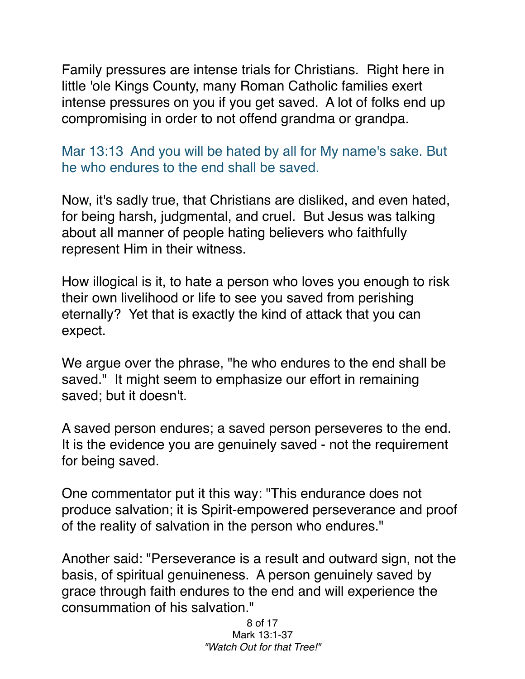Family pressures are intense trials for Christians. Right here in little 'ole Kings County, many Roman Catholic families exert intense pressures on you if you get saved. A lot of folks end up compromising in order to not offend grandma or grandpa.

Mar 13:13 And you will be hated by all for My name's sake. But he who endures to the end shall be saved.

Now, it's sadly true, that Christians are disliked, and even hated, for being harsh, judgmental, and cruel. But Jesus was talking about all manner of people hating believers who faithfully represent Him in their witness.

How illogical is it, to hate a person who loves you enough to risk their own livelihood or life to see you saved from perishing eternally? Yet that is exactly the kind of attack that you can expect.

We argue over the phrase, "he who endures to the end shall be saved." It might seem to emphasize our effort in remaining saved; but it doesn't.

A saved person endures; a saved person perseveres to the end. It is the evidence you are genuinely saved - not the requirement for being saved.

One commentator put it this way: "This endurance does not produce salvation; it is Spirit-empowered perseverance and proof of the reality of salvation in the person who endures."

Another said: "Perseverance is a result and outward sign, not the basis, of spiritual genuineness. A person genuinely saved by grace through faith endures to the end and will experience the consummation of his salvation."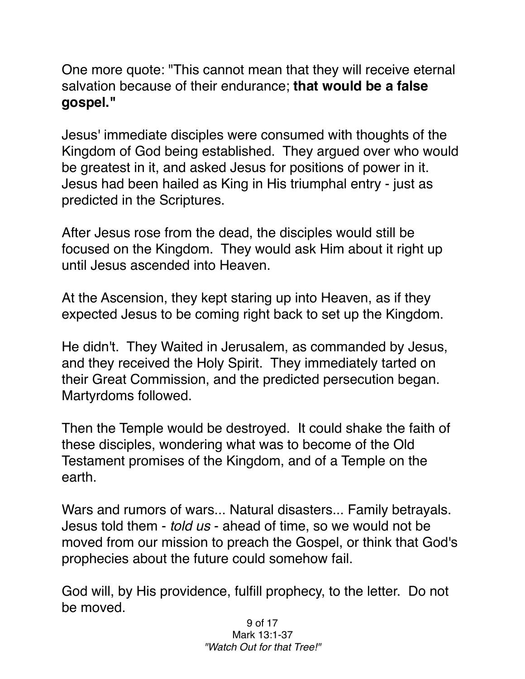One more quote: "This cannot mean that they will receive eternal salvation because of their endurance; **that would be a false gospel."**

Jesus' immediate disciples were consumed with thoughts of the Kingdom of God being established. They argued over who would be greatest in it, and asked Jesus for positions of power in it. Jesus had been hailed as King in His triumphal entry - just as predicted in the Scriptures.

After Jesus rose from the dead, the disciples would still be focused on the Kingdom. They would ask Him about it right up until Jesus ascended into Heaven.

At the Ascension, they kept staring up into Heaven, as if they expected Jesus to be coming right back to set up the Kingdom.

He didn't. They Waited in Jerusalem, as commanded by Jesus, and they received the Holy Spirit. They immediately tarted on their Great Commission, and the predicted persecution began. Martyrdoms followed.

Then the Temple would be destroyed. It could shake the faith of these disciples, wondering what was to become of the Old Testament promises of the Kingdom, and of a Temple on the earth.

Wars and rumors of wars... Natural disasters... Family betrayals. Jesus told them - *told us* - ahead of time, so we would not be moved from our mission to preach the Gospel, or think that God's prophecies about the future could somehow fail.

God will, by His providence, fulfill prophecy, to the letter. Do not be moved.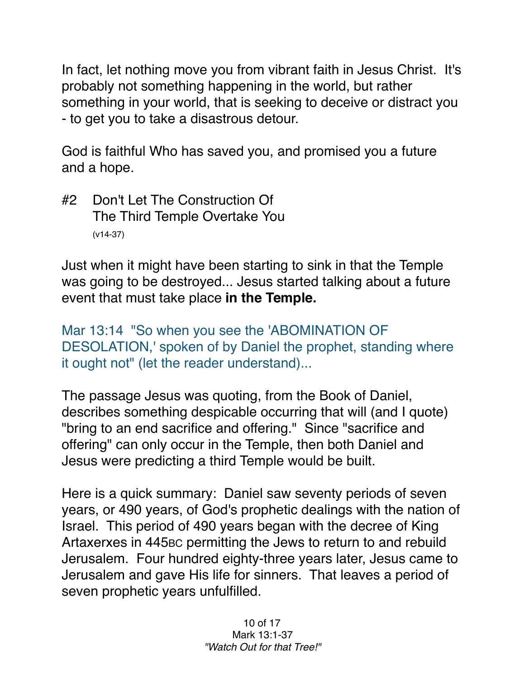In fact, let nothing move you from vibrant faith in Jesus Christ. It's probably not something happening in the world, but rather something in your world, that is seeking to deceive or distract you - to get you to take a disastrous detour.

God is faithful Who has saved you, and promised you a future and a hope.

#2 Don't Let The Construction Of The Third Temple Overtake You (v14-37)

Just when it might have been starting to sink in that the Temple was going to be destroyed... Jesus started talking about a future event that must take place **in the Temple.**

Mar 13:14 "So when you see the 'ABOMINATION OF DESOLATION,' spoken of by Daniel the prophet, standing where it ought not" (let the reader understand)...

The passage Jesus was quoting, from the Book of Daniel, describes something despicable occurring that will (and I quote) "bring to an end sacrifice and offering." Since "sacrifice and offering" can only occur in the Temple, then both Daniel and Jesus were predicting a third Temple would be built.

Here is a quick summary: Daniel saw seventy periods of seven years, or 490 years, of God's prophetic dealings with the nation of Israel. This period of 490 years began with the decree of King Artaxerxes in 445BC permitting the Jews to return to and rebuild Jerusalem. Four hundred eighty-three years later, Jesus came to Jerusalem and gave His life for sinners. That leaves a period of seven prophetic years unfulfilled.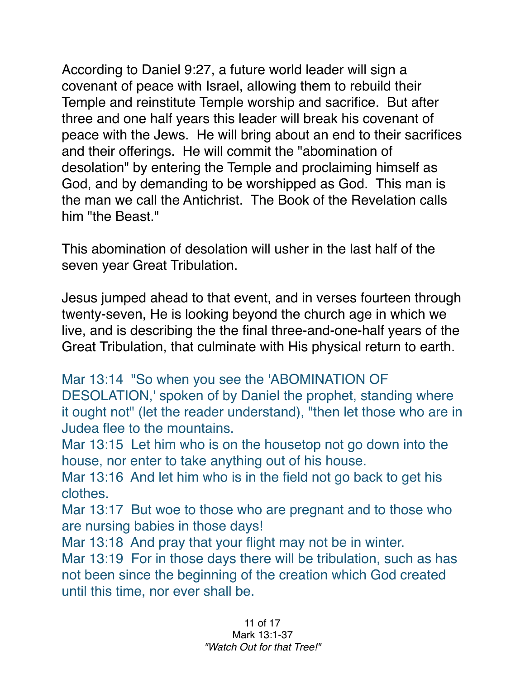According to Daniel 9:27, a future world leader will sign a covenant of peace with Israel, allowing them to rebuild their Temple and reinstitute Temple worship and sacrifice. But after three and one half years this leader will break his covenant of peace with the Jews. He will bring about an end to their sacrifices and their offerings. He will commit the "abomination of desolation" by entering the Temple and proclaiming himself as God, and by demanding to be worshipped as God. This man is the man we call the Antichrist. The Book of the Revelation calls him "the Beast."

This abomination of desolation will usher in the last half of the seven year Great Tribulation.

Jesus jumped ahead to that event, and in verses fourteen through twenty-seven, He is looking beyond the church age in which we live, and is describing the the final three-and-one-half years of the Great Tribulation, that culminate with His physical return to earth.

Mar 13:14 "So when you see the 'ABOMINATION OF

DESOLATION,' spoken of by Daniel the prophet, standing where it ought not" (let the reader understand), "then let those who are in Judea flee to the mountains.

Mar 13:15 Let him who is on the housetop not go down into the house, nor enter to take anything out of his house.

Mar 13:16 And let him who is in the field not go back to get his clothes.

Mar 13:17 But woe to those who are pregnant and to those who are nursing babies in those days!

Mar 13:18 And pray that your flight may not be in winter.

Mar 13:19 For in those days there will be tribulation, such as has not been since the beginning of the creation which God created until this time, nor ever shall be.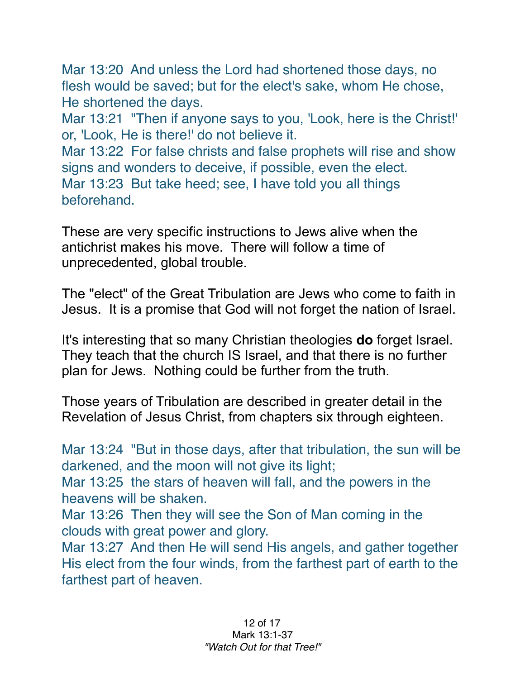Mar 13:20 And unless the Lord had shortened those days, no flesh would be saved; but for the elect's sake, whom He chose, He shortened the days.

Mar 13:21 "Then if anyone says to you, 'Look, here is the Christ!' or, 'Look, He is there!' do not believe it.

Mar 13:22 For false christs and false prophets will rise and show signs and wonders to deceive, if possible, even the elect. Mar 13:23 But take heed; see, I have told you all things beforehand.

These are very specific instructions to Jews alive when the antichrist makes his move. There will follow a time of unprecedented, global trouble.

The "elect" of the Great Tribulation are Jews who come to faith in Jesus. It is a promise that God will not forget the nation of Israel.

It's interesting that so many Christian theologies **do** forget Israel. They teach that the church IS Israel, and that there is no further plan for Jews. Nothing could be further from the truth.

Those years of Tribulation are described in greater detail in the Revelation of Jesus Christ, from chapters six through eighteen.

Mar 13:24 "But in those days, after that tribulation, the sun will be darkened, and the moon will not give its light;

Mar 13:25 the stars of heaven will fall, and the powers in the heavens will be shaken.

Mar 13:26 Then they will see the Son of Man coming in the clouds with great power and glory.

Mar 13:27 And then He will send His angels, and gather together His elect from the four winds, from the farthest part of earth to the farthest part of heaven.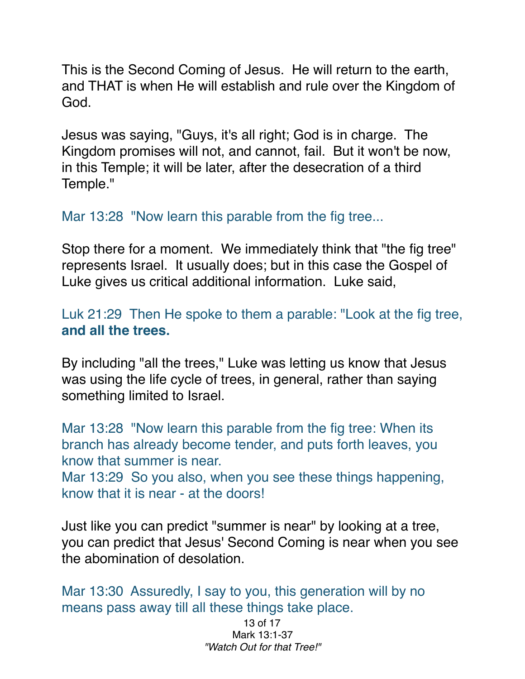This is the Second Coming of Jesus. He will return to the earth, and THAT is when He will establish and rule over the Kingdom of God.

Jesus was saying, "Guys, it's all right; God is in charge. The Kingdom promises will not, and cannot, fail. But it won't be now, in this Temple; it will be later, after the desecration of a third Temple."

## Mar 13:28 "Now learn this parable from the fig tree...

Stop there for a moment. We immediately think that "the fig tree" represents Israel. It usually does; but in this case the Gospel of Luke gives us critical additional information. Luke said,

Luk 21:29 Then He spoke to them a parable: "Look at the fig tree, **and all the trees.**

By including "all the trees," Luke was letting us know that Jesus was using the life cycle of trees, in general, rather than saying something limited to Israel.

Mar 13:28 "Now learn this parable from the fig tree: When its branch has already become tender, and puts forth leaves, you know that summer is near.

Mar 13:29 So you also, when you see these things happening, know that it is near - at the doors!

Just like you can predict "summer is near" by looking at a tree, you can predict that Jesus' Second Coming is near when you see the abomination of desolation.

Mar 13:30 Assuredly, I say to you, this generation will by no means pass away till all these things take place.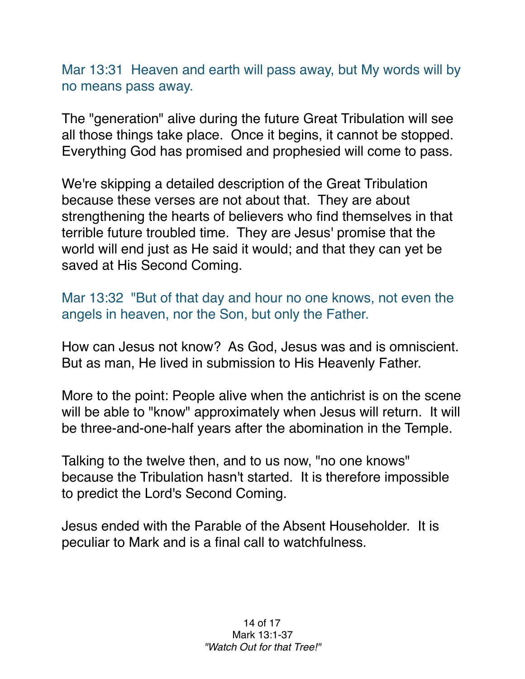Mar 13:31 Heaven and earth will pass away, but My words will by no means pass away.

The "generation" alive during the future Great Tribulation will see all those things take place. Once it begins, it cannot be stopped. Everything God has promised and prophesied will come to pass.

We're skipping a detailed description of the Great Tribulation because these verses are not about that. They are about strengthening the hearts of believers who find themselves in that terrible future troubled time. They are Jesus' promise that the world will end just as He said it would; and that they can yet be saved at His Second Coming.

Mar 13:32 "But of that day and hour no one knows, not even the angels in heaven, nor the Son, but only the Father.

How can Jesus not know? As God, Jesus was and is omniscient. But as man, He lived in submission to His Heavenly Father.

More to the point: People alive when the antichrist is on the scene will be able to "know" approximately when Jesus will return. It will be three-and-one-half years after the abomination in the Temple.

Talking to the twelve then, and to us now, "no one knows" because the Tribulation hasn't started. It is therefore impossible to predict the Lord's Second Coming.

Jesus ended with the Parable of the Absent Householder. It is peculiar to Mark and is a final call to watchfulness.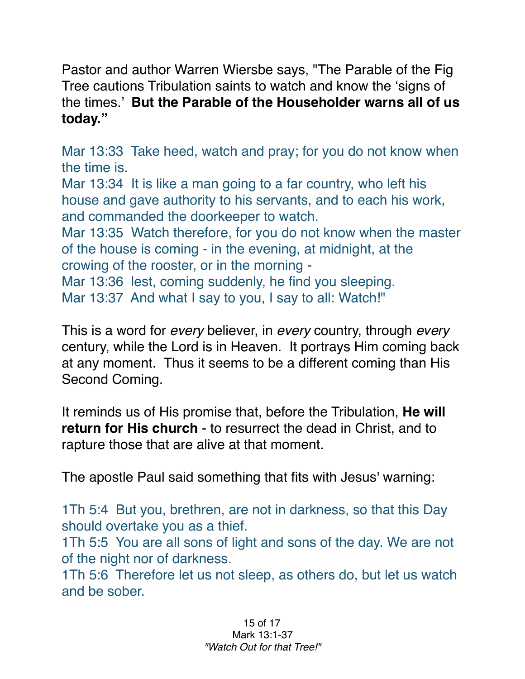Pastor and author Warren Wiersbe says, "The Parable of the Fig Tree cautions Tribulation saints to watch and know the 'signs of the times.' **But the Parable of the Householder warns all of us today."**

Mar 13:33 Take heed, watch and pray; for you do not know when the time is.

Mar 13:34 It is like a man going to a far country, who left his house and gave authority to his servants, and to each his work, and commanded the doorkeeper to watch.

Mar 13:35 Watch therefore, for you do not know when the master of the house is coming - in the evening, at midnight, at the crowing of the rooster, or in the morning -

Mar 13:36 lest, coming suddenly, he find you sleeping. Mar 13:37 And what I say to you, I say to all: Watch!"

This is a word for *every* believer, in *every* country, through *every* century, while the Lord is in Heaven. It portrays Him coming back at any moment. Thus it seems to be a different coming than His Second Coming.

It reminds us of His promise that, before the Tribulation, **He will return for His church** - to resurrect the dead in Christ, and to rapture those that are alive at that moment.

The apostle Paul said something that fits with Jesus' warning:

1Th 5:4 But you, brethren, are not in darkness, so that this Day should overtake you as a thief.

1Th 5:5 You are all sons of light and sons of the day. We are not of the night nor of darkness.

1Th 5:6 Therefore let us not sleep, as others do, but let us watch and be sober.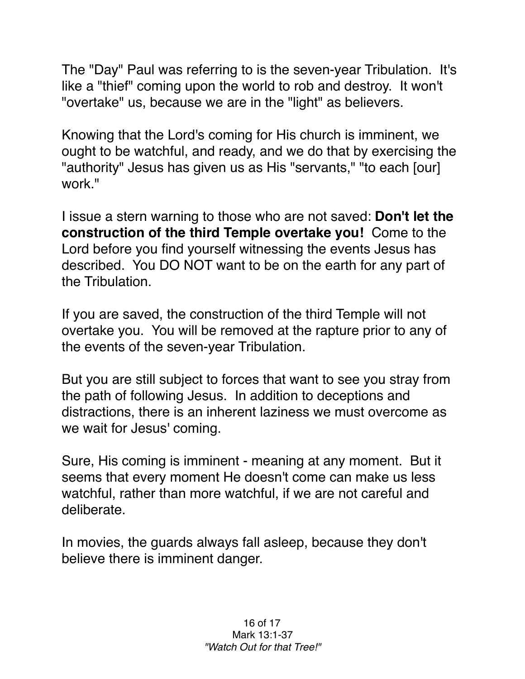The "Day" Paul was referring to is the seven-year Tribulation. It's like a "thief" coming upon the world to rob and destroy. It won't "overtake" us, because we are in the "light" as believers.

Knowing that the Lord's coming for His church is imminent, we ought to be watchful, and ready, and we do that by exercising the "authority" Jesus has given us as His "servants," "to each [our] work."

I issue a stern warning to those who are not saved: **Don't let the construction of the third Temple overtake you!** Come to the Lord before you find yourself witnessing the events Jesus has described. You DO NOT want to be on the earth for any part of the Tribulation.

If you are saved, the construction of the third Temple will not overtake you. You will be removed at the rapture prior to any of the events of the seven-year Tribulation.

But you are still subject to forces that want to see you stray from the path of following Jesus. In addition to deceptions and distractions, there is an inherent laziness we must overcome as we wait for Jesus' coming.

Sure, His coming is imminent - meaning at any moment. But it seems that every moment He doesn't come can make us less watchful, rather than more watchful, if we are not careful and deliberate.

In movies, the guards always fall asleep, because they don't believe there is imminent danger.